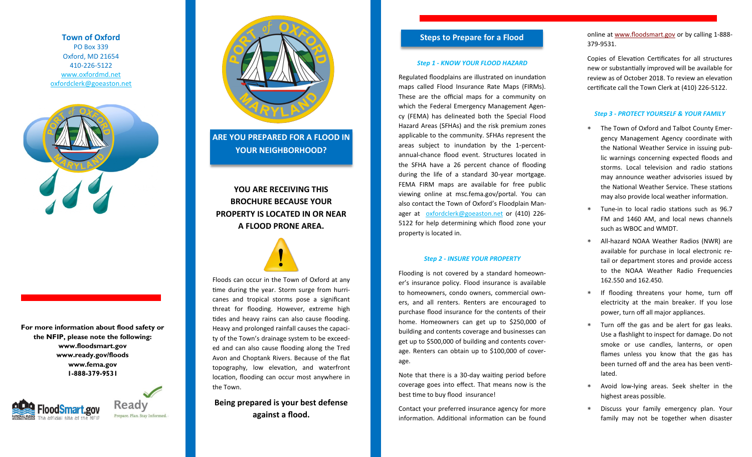**Town of Oxford** PO Box 339 Oxford, MD 21654 410-226-5122 [www.oxfordmd.net](http://www.oxfordmd.net) [oxfordclerk@goeaston.net](mailto:oxfordclerk@goeaston.net)



**For more information about flood safety or the NFIP, please note the following: www.floodsmart.gov www.ready.gov/floods www.fema.gov 1-888-379-9531**





**ARE YOU PREPARED FOR A FLOOD IN YOUR NEIGHBORHOOD?**

**YOU ARE RECEIVING THIS BROCHURE BECAUSE YOUR PROPERTY IS LOCATED IN OR NEAR A FLOOD PRONE AREA.** 



Floods can occur in the Town of Oxford at any time during the year. Storm surge from hurricanes and tropical storms pose a significant threat for flooding. However, extreme high tides and heavy rains can also cause flooding. Heavy and prolonged rainfall causes the capacity of the Town's drainage system to be exceeded and can also cause flooding along the Tred Avon and Choptank Rivers. Because of the flat topography, low elevation, and waterfront location, flooding can occur most anywhere in the Town.

**Being prepared is your best defense against a flood.**

# **Steps to Prepare for a Flood**

## *Step 1 - KNOW YOUR FLOOD HAZARD*

Regulated floodplains are illustrated on inundation maps called Flood Insurance Rate Maps (FIRMs). These are the official maps for a community on which the Federal Emergency Management Agency (FEMA) has delineated both the Special Flood Hazard Areas (SFHAs) and the risk premium zones applicable to the community. SFHAs represent the areas subject to inundation by the 1-percentannual-chance flood event. Structures located in the SFHA have a 26 percent chance of flooding during the life of a standard 30-year mortgage. FEMA FIRM maps are available for free public viewing online at msc.fema.gov/portal. You can also contact the Town of Oxford's Floodplain Manager at [oxfordclerk@goeaston.net](mailto:oxfordclerk@goeaston.net) or (410) 226- 5122 for help determining which flood zone your property is located in.

#### *Step 2 - INSURE YOUR PROPERTY*

Flooding is not covered by a standard homeowner's insurance policy. Flood insurance is available to homeowners, condo owners, commercial owners, and all renters. Renters are encouraged to purchase flood insurance for the contents of their home. Homeowners can get up to \$250,000 of building and contents coverage and businesses can get up to \$500,000 of building and contents coverage. Renters can obtain up to \$100,000 of coverage.

Note that there is a 30-day waiting period before coverage goes into effect. That means now is the best time to buy flood insurance!

Contact your preferred insurance agency for more information. Additional information can be found online at [www.floodsmart.gov](http://www.floodsmart.gov) or by calling 1-888- 379-9531.

Copies of Elevation Certificates for all structures new or substantially improved will be available for review as of October 2018. To review an elevation certificate call the Town Clerk at (410) 226-5122.

## *Step 3 - PROTECT YOURSELF & YOUR FAMILY*

- The Town of Oxford and Talbot County Emergency Management Agency coordinate with the National Weather Service in issuing public warnings concerning expected floods and storms. Local television and radio stations may announce weather advisories issued by the National Weather Service. These stations may also provide local weather information.
- Tune-in to local radio stations such as 96.7 FM and 1460 AM, and local news channels such as WBOC and WMDT.
- All-hazard NOAA Weather Radios (NWR) are available for purchase in local electronic retail or department stores and provide access to the NOAA Weather Radio Frequencies 162.550 and 162.450.
- \* If flooding threatens your home, turn off electricity at the main breaker. If you lose power, turn off all major appliances.
- Turn off the gas and be alert for gas leaks. Use a flashlight to inspect for damage. Do not smoke or use candles, lanterns, or open flames unless you know that the gas has been turned off and the area has been ventilated.
- Avoid low-lying areas. Seek shelter in the highest areas possible.
- Discuss your family emergency plan. Your family may not be together when disaster